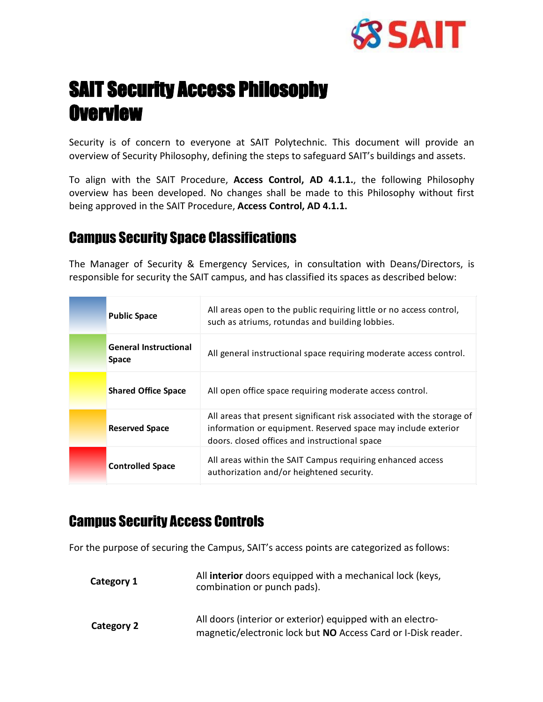

# SAIT Security Access Philosophy **Overview**

Security is of concern to everyone at SAIT Polytechnic. This document will provide an overview of Security Philosophy, defining the steps to safeguard SAIT's buildings and assets.

To align with the SAIT Procedure, **Access Control, AD 4.1.1.**, the following Philosophy overview has been developed. No changes shall be made to this Philosophy without first being approved in the SAIT Procedure, **Access Control, AD 4.1.1.**

#### Campus Security Space Classifications

The Manager of Security & Emergency Services, in consultation with Deans/Directors, is responsible for security the SAIT campus, and has classified its spaces as described below:

| <b>Public Space</b>                   | All areas open to the public requiring little or no access control,<br>such as atriums, rotundas and building lobbies.                                                                   |
|---------------------------------------|------------------------------------------------------------------------------------------------------------------------------------------------------------------------------------------|
| General Instructional<br><b>Space</b> | All general instructional space requiring moderate access control.                                                                                                                       |
| <b>Shared Office Space</b>            | All open office space requiring moderate access control.                                                                                                                                 |
| <b>Reserved Space</b>                 | All areas that present significant risk associated with the storage of<br>information or equipment. Reserved space may include exterior<br>doors. closed offices and instructional space |
| <b>Controlled Space</b>               | All areas within the SAIT Campus requiring enhanced access<br>authorization and/or heightened security.                                                                                  |

### Campus Security Access Controls

For the purpose of securing the Campus, SAIT's access points are categorized as follows:

| Category 1 | All interior doors equipped with a mechanical lock (keys,<br>combination or punch pads).                                    |
|------------|-----------------------------------------------------------------------------------------------------------------------------|
| Category 2 | All doors (interior or exterior) equipped with an electro-<br>magnetic/electronic lock but NO Access Card or I-Disk reader. |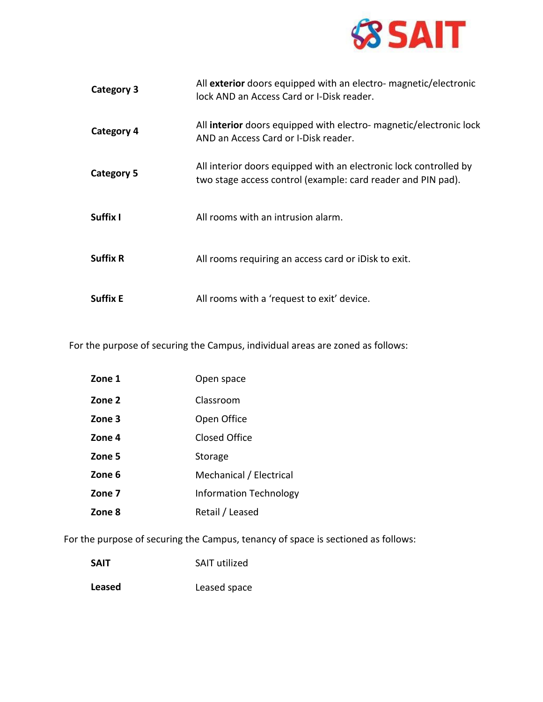

| <b>Category 3</b> | All exterior doors equipped with an electro- magnetic/electronic<br>lock AND an Access Card or I-Disk reader.                     |
|-------------------|-----------------------------------------------------------------------------------------------------------------------------------|
| Category 4        | All interior doors equipped with electro- magnetic/electronic lock<br>AND an Access Card or I-Disk reader.                        |
| Category 5        | All interior doors equipped with an electronic lock controlled by<br>two stage access control (example: card reader and PIN pad). |
| Suffix I          | All rooms with an intrusion alarm.                                                                                                |
| <b>Suffix R</b>   | All rooms requiring an access card or iDisk to exit.                                                                              |
| <b>Suffix E</b>   | All rooms with a 'request to exit' device.                                                                                        |

For the purpose of securing the Campus, individual areas are zoned as follows:

| Zone 1 | Open space                    |
|--------|-------------------------------|
| Zone 2 | Classroom                     |
| Zone 3 | Open Office                   |
| Zone 4 | Closed Office                 |
| Zone 5 | Storage                       |
| Zone 6 | Mechanical / Electrical       |
| Zone 7 | <b>Information Technology</b> |
| Zone 8 | Retail / Leased               |

For the purpose of securing the Campus, tenancy of space is sectioned as follows:

| <b>SAIT</b> | <b>SAIT utilized</b> |
|-------------|----------------------|
| Leased      | Leased space         |